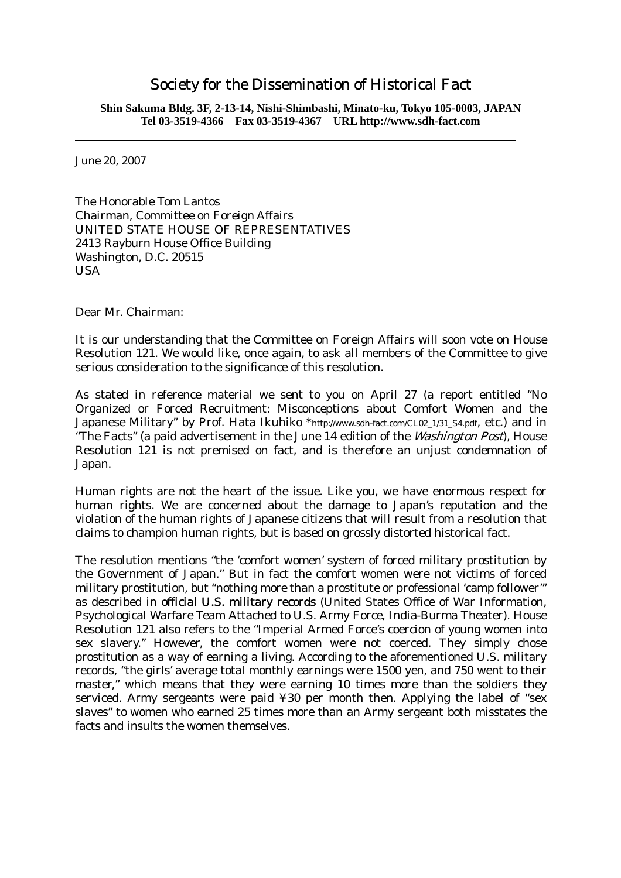## Society for the Dissemination of Historical Fact

**Shin Sakuma Bldg. 3F, 2-13-14, Nishi-Shimbashi, Minato-ku, Tokyo 105-0003, JAPAN Tel 03-3519-4366 Fax 03-3519-4367 URL http://www.sdh-fact.com** 

June 20, 2007

The Honorable Tom Lantos Chairman, Committee on Foreign Affairs UNITED STATE HOUSE OF REPRESENTATIVES 2413 Rayburn House Office Building Washington, D.C. 20515 USA

Dear Mr. Chairman:

It is our understanding that the Committee on Foreign Affairs will soon vote on House Resolution 121. We would like, once again, to ask all members of the Committee to give serious consideration to the significance of this resolution.

As stated in reference material we sent to you on April 27 (a report entitled "No Organized or Forced Recruitment: Misconceptions about Comfort Women and the Japanese Military" by Prof. Hata Ikuhiko \*http://www.sdh-fact.com/CL02\_1/31\_S4.pdf, etc.) and in "The Facts" (a paid advertisement in the June 14 edition of the *Washington Post*), House Resolution 121 is not premised on fact, and is therefore an unjust condemnation of Japan.

Human rights are not the heart of the issue. Like you, we have enormous respect for human rights. We are concerned about the damage to Japan's reputation and the violation of the human rights of Japanese citizens that will result from a resolution that claims to champion human rights, but is based on grossly distorted historical fact.

The resolution mentions "the 'comfort women' system of forced military prostitution by the Government of Japan." But in fact the comfort women were not victims of forced military prostitution, but "nothing more than a prostitute or professional 'camp follower'" as described in official U.S. military records (United States Office of War Information, Psychological Warfare Team Attached to U.S. Army Force, India-Burma Theater). House Resolution 121 also refers to the "Imperial Armed Force's coercion of young women into sex slavery." However, the comfort women were not coerced. They simply chose prostitution as a way of earning a living. According to the aforementioned U.S. military records, "the girls' average total monthly earnings were 1500 yen, and 750 went to their master," which means that they were earning 10 times more than the soldiers they serviced. Army sergeants were paid ¥30 per month then. Applying the label of "sex slaves" to women who earned 25 times more than an Army sergeant both misstates the facts and insults the women themselves.